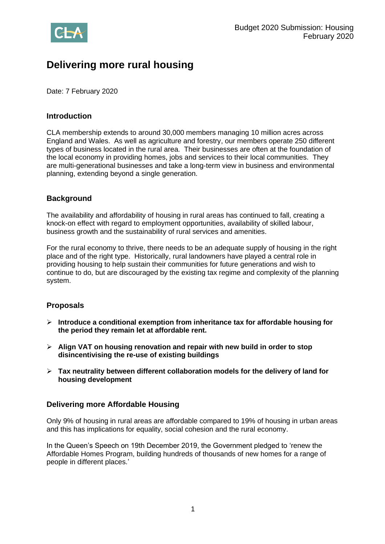

# **Delivering more rural housing**

Date: 7 February 2020

## **Introduction**

CLA membership extends to around 30,000 members managing 10 million acres across England and Wales. As well as agriculture and forestry, our members operate 250 different types of business located in the rural area. Their businesses are often at the foundation of the local economy in providing homes, jobs and services to their local communities. They are multi-generational businesses and take a long-term view in business and environmental planning, extending beyond a single generation.

## **Background**

The availability and affordability of housing in rural areas has continued to fall, creating a knock-on effect with regard to employment opportunities, availability of skilled labour, business growth and the sustainability of rural services and amenities.

For the rural economy to thrive, there needs to be an adequate supply of housing in the right place and of the right type. Historically, rural landowners have played a central role in providing housing to help sustain their communities for future generations and wish to continue to do, but are discouraged by the existing tax regime and complexity of the planning system.

## **Proposals**

- ➢ **Introduce a conditional exemption from inheritance tax for affordable housing for the period they remain let at affordable rent.**
- ➢ **Align VAT on housing renovation and repair with new build in order to stop disincentivising the re-use of existing buildings**
- ➢ **Tax neutrality between different collaboration models for the delivery of land for housing development**

## **Delivering more Affordable Housing**

Only 9% of housing in rural areas are affordable compared to 19% of housing in urban areas and this has implications for equality, social cohesion and the rural economy.

In the Queen's Speech on 19th December 2019, the Government pledged to 'renew the Affordable Homes Program, building hundreds of thousands of new homes for a range of people in different places.'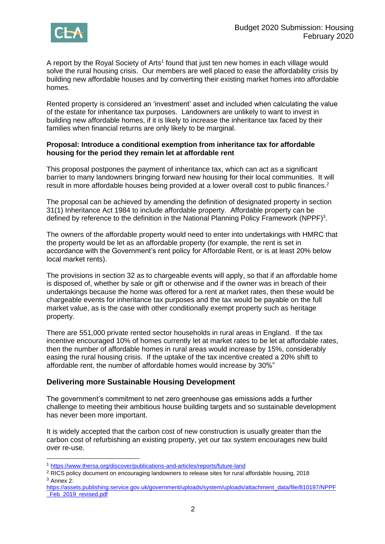

A report by the Royal Society of Arts<sup>1</sup> found that just ten new homes in each village would solve the rural housing crisis. Our members are well placed to ease the affordability crisis by building new affordable houses and by converting their existing market homes into affordable homes.

Rented property is considered an 'investment' asset and included when calculating the value of the estate for inheritance tax purposes. Landowners are unlikely to want to invest in building new affordable homes, if it is likely to increase the inheritance tax faced by their families when financial returns are only likely to be marginal.

#### **Proposal: Introduce a conditional exemption from inheritance tax for affordable housing for the period they remain let at affordable rent**

This proposal postpones the payment of inheritance tax, which can act as a significant barrier to many landowners bringing forward new housing for their local communities. It will result in more affordable houses being provided at a lower overall cost to public finances.<sup>2</sup>

The proposal can be achieved by amending the definition of designated property in section 31(1) Inheritance Act 1984 to include affordable property. Affordable property can be defined by reference to the definition in the National Planning Policy Framework (NPPF)<sup>3</sup>.

The owners of the affordable property would need to enter into undertakings with HMRC that the property would be let as an affordable property (for example, the rent is set in accordance with the Government's rent policy for Affordable Rent, or is at least 20% below local market rents).

The provisions in section 32 as to chargeable events will apply, so that if an affordable home is disposed of, whether by sale or gift or otherwise and if the owner was in breach of their undertakings because the home was offered for a rent at market rates, then these would be chargeable events for inheritance tax purposes and the tax would be payable on the full market value, as is the case with other conditionally exempt property such as heritage property.

There are 551,000 private rented sector households in rural areas in England. If the tax incentive encouraged 10% of homes currently let at market rates to be let at affordable rates, then the number of affordable homes in rural areas would increase by 15%, considerably easing the rural housing crisis. If the uptake of the tax incentive created a 20% shift to affordable rent, the number of affordable homes would increase by 30%"

## **Delivering more Sustainable Housing Development**

The government's commitment to net zero greenhouse gas emissions adds a further challenge to meeting their ambitious house building targets and so sustainable development has never been more important.

It is widely accepted that the carbon cost of new construction is usually greater than the carbon cost of refurbishing an existing property, yet our tax system encourages new build over re-use.

<sup>1</sup> <https://www.thersa.org/discover/publications-and-articles/reports/future-land>

<sup>&</sup>lt;sup>2</sup> RICS policy document on encouraging landowners to release sites for rural affordable housing, 2018 <sup>3</sup> Annex 2:

[https://assets.publishing.service.gov.uk/government/uploads/system/uploads/attachment\\_data/file/810197/NPPF](https://assets.publishing.service.gov.uk/government/uploads/system/uploads/attachment_data/file/810197/NPPF_Feb_2019_revised.pdf) [\\_Feb\\_2019\\_revised.pdf](https://assets.publishing.service.gov.uk/government/uploads/system/uploads/attachment_data/file/810197/NPPF_Feb_2019_revised.pdf)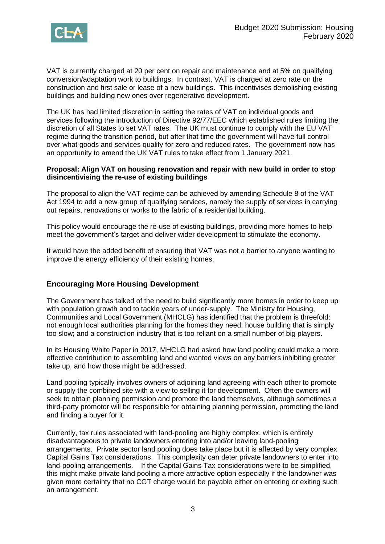

VAT is currently charged at 20 per cent on repair and maintenance and at 5% on qualifying conversion/adaptation work to buildings. In contrast, VAT is charged at zero rate on the construction and first sale or lease of a new buildings. This incentivises demolishing existing buildings and building new ones over regenerative development.

The UK has had limited discretion in setting the rates of VAT on individual goods and services following the introduction of Directive 92/77/EEC which established rules limiting the discretion of all States to set VAT rates. The UK must continue to comply with the EU VAT regime during the transition period, but after that time the government will have full control over what goods and services qualify for zero and reduced rates. The government now has an opportunity to amend the UK VAT rules to take effect from 1 January 2021.

#### **Proposal: Align VAT on housing renovation and repair with new build in order to stop disincentivising the re-use of existing buildings**

The proposal to align the VAT regime can be achieved by amending Schedule 8 of the VAT Act 1994 to add a new group of qualifying services, namely the supply of services in carrying out repairs, renovations or works to the fabric of a residential building.

This policy would encourage the re-use of existing buildings, providing more homes to help meet the government's target and deliver wider development to stimulate the economy.

It would have the added benefit of ensuring that VAT was not a barrier to anyone wanting to improve the energy efficiency of their existing homes.

## **Encouraging More Housing Development**

The Government has talked of the need to build significantly more homes in order to keep up with population growth and to tackle years of under-supply. The Ministry for Housing, Communities and Local Government (MHCLG) has identified that the problem is threefold: not enough local authorities planning for the homes they need; house building that is simply too slow; and a construction industry that is too reliant on a small number of big players.

In its Housing White Paper in 2017, MHCLG had asked how land pooling could make a more effective contribution to assembling land and wanted views on any barriers inhibiting greater take up, and how those might be addressed.

Land pooling typically involves owners of adjoining land agreeing with each other to promote or supply the combined site with a view to selling it for development. Often the owners will seek to obtain planning permission and promote the land themselves, although sometimes a third-party promotor will be responsible for obtaining planning permission, promoting the land and finding a buyer for it.

Currently, tax rules associated with land-pooling are highly complex, which is entirely disadvantageous to private landowners entering into and/or leaving land-pooling arrangements. Private sector land pooling does take place but it is affected by very complex Capital Gains Tax considerations. This complexity can deter private landowners to enter into land-pooling arrangements. If the Capital Gains Tax considerations were to be simplified, this might make private land pooling a more attractive option especially if the landowner was given more certainty that no CGT charge would be payable either on entering or exiting such an arrangement.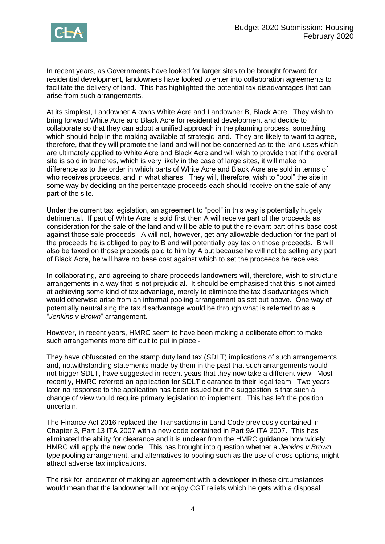

In recent years, as Governments have looked for larger sites to be brought forward for residential development, landowners have looked to enter into collaboration agreements to facilitate the delivery of land. This has highlighted the potential tax disadvantages that can arise from such arrangements.

At its simplest, Landowner A owns White Acre and Landowner B, Black Acre. They wish to bring forward White Acre and Black Acre for residential development and decide to collaborate so that they can adopt a unified approach in the planning process, something which should help in the making available of strategic land. They are likely to want to agree, therefore, that they will promote the land and will not be concerned as to the land uses which are ultimately applied to White Acre and Black Acre and will wish to provide that if the overall site is sold in tranches, which is very likely in the case of large sites, it will make no difference as to the order in which parts of White Acre and Black Acre are sold in terms of who receives proceeds, and in what shares. They will, therefore, wish to "pool" the site in some way by deciding on the percentage proceeds each should receive on the sale of any part of the site.

Under the current tax legislation, an agreement to "pool" in this way is potentially hugely detrimental. If part of White Acre is sold first then A will receive part of the proceeds as consideration for the sale of the land and will be able to put the relevant part of his base cost against those sale proceeds. A will not, however, get any allowable deduction for the part of the proceeds he is obliged to pay to B and will potentially pay tax on those proceeds. B will also be taxed on those proceeds paid to him by A but because he will not be selling any part of Black Acre, he will have no base cost against which to set the proceeds he receives.

In collaborating, and agreeing to share proceeds landowners will, therefore, wish to structure arrangements in a way that is not prejudicial. It should be emphasised that this is not aimed at achieving some kind of tax advantage, merely to eliminate the tax disadvantages which would otherwise arise from an informal pooling arrangement as set out above. One way of potentially neutralising the tax disadvantage would be through what is referred to as a "*Jenkins v Brown*" arrangement.

However, in recent years, HMRC seem to have been making a deliberate effort to make such arrangements more difficult to put in place:-

They have obfuscated on the stamp duty land tax (SDLT) implications of such arrangements and, notwithstanding statements made by them in the past that such arrangements would not trigger SDLT, have suggested in recent years that they now take a different view. Most recently, HMRC referred an application for SDLT clearance to their legal team. Two years later no response to the application has been issued but the suggestion is that such a change of view would require primary legislation to implement. This has left the position uncertain.

The Finance Act 2016 replaced the Transactions in Land Code previously contained in Chapter 3, Part 13 ITA 2007 with a new code contained in Part 9A ITA 2007. This has eliminated the ability for clearance and it is unclear from the HMRC guidance how widely HMRC will apply the new code. This has brought into question whether a *Jenkins v Brown* type pooling arrangement, and alternatives to pooling such as the use of cross options, might attract adverse tax implications.

The risk for landowner of making an agreement with a developer in these circumstances would mean that the landowner will not enjoy CGT reliefs which he gets with a disposal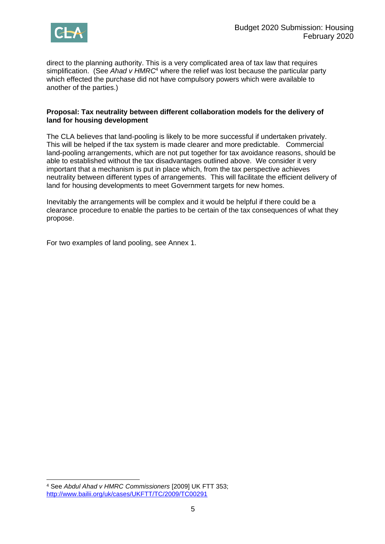

direct to the planning authority. This is a very complicated area of tax law that requires simplification. (See *Ahad v HMRC*<sup>4</sup> where the relief was lost because the particular party which effected the purchase did not have compulsory powers which were available to another of the parties.)

#### **Proposal: Tax neutrality between different collaboration models for the delivery of land for housing development**

The CLA believes that land-pooling is likely to be more successful if undertaken privately. This will be helped if the tax system is made clearer and more predictable. Commercial land-pooling arrangements, which are not put together for tax avoidance reasons, should be able to established without the tax disadvantages outlined above. We consider it very important that a mechanism is put in place which, from the tax perspective achieves neutrality between different types of arrangements. This will facilitate the efficient delivery of land for housing developments to meet Government targets for new homes.

Inevitably the arrangements will be complex and it would be helpful if there could be a clearance procedure to enable the parties to be certain of the tax consequences of what they propose.

For two examples of land pooling, see Annex 1.

<sup>4</sup> See *Abdul Ahad v HMRC Commissioners* [2009] UK FTT 353; <http://www.bailii.org/uk/cases/UKFTT/TC/2009/TC00291>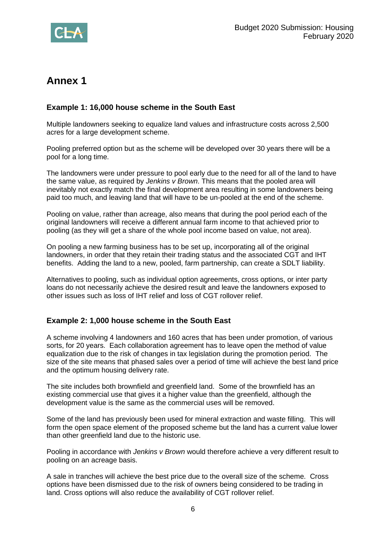

## **Annex 1**

## **Example 1: 16,000 house scheme in the South East**

Multiple landowners seeking to equalize land values and infrastructure costs across 2,500 acres for a large development scheme.

Pooling preferred option but as the scheme will be developed over 30 years there will be a pool for a long time.

The landowners were under pressure to pool early due to the need for all of the land to have the same value, as required by *Jenkins v Brown*. This means that the pooled area will inevitably not exactly match the final development area resulting in some landowners being paid too much, and leaving land that will have to be un-pooled at the end of the scheme.

Pooling on value, rather than acreage, also means that during the pool period each of the original landowners will receive a different annual farm income to that achieved prior to pooling (as they will get a share of the whole pool income based on value, not area).

On pooling a new farming business has to be set up, incorporating all of the original landowners, in order that they retain their trading status and the associated CGT and IHT benefits. Adding the land to a new, pooled, farm partnership, can create a SDLT liability.

Alternatives to pooling, such as individual option agreements, cross options, or inter party loans do not necessarily achieve the desired result and leave the landowners exposed to other issues such as loss of IHT relief and loss of CGT rollover relief.

## **Example 2: 1,000 house scheme in the South East**

A scheme involving 4 landowners and 160 acres that has been under promotion, of various sorts, for 20 years. Each collaboration agreement has to leave open the method of value equalization due to the risk of changes in tax legislation during the promotion period. The size of the site means that phased sales over a period of time will achieve the best land price and the optimum housing delivery rate.

The site includes both brownfield and greenfield land. Some of the brownfield has an existing commercial use that gives it a higher value than the greenfield, although the development value is the same as the commercial uses will be removed.

Some of the land has previously been used for mineral extraction and waste filling. This will form the open space element of the proposed scheme but the land has a current value lower than other greenfield land due to the historic use.

Pooling in accordance with *Jenkins v Brown* would therefore achieve a very different result to pooling on an acreage basis.

A sale in tranches will achieve the best price due to the overall size of the scheme. Cross options have been dismissed due to the risk of owners being considered to be trading in land. Cross options will also reduce the availability of CGT rollover relief.